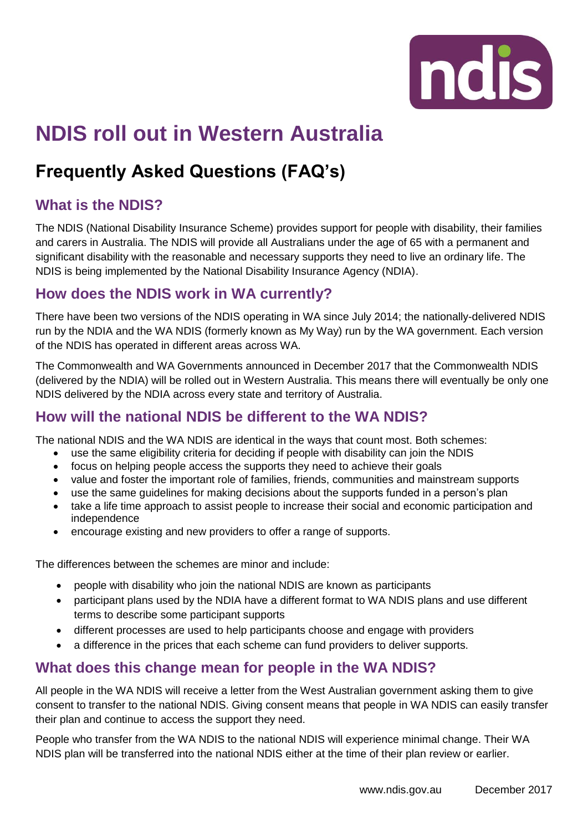

# **NDIS roll out in Western Australia**

## **Frequently Asked Questions (FAQ's)**

#### **What is the NDIS?**

The NDIS (National Disability Insurance Scheme) provides support for people with disability, their families and carers in Australia. The NDIS will provide all Australians under the age of 65 with a permanent and significant disability with the reasonable and necessary supports they need to live an ordinary life. The NDIS is being implemented by the National Disability Insurance Agency (NDIA).

#### **How does the NDIS work in WA currently?**

There have been two versions of the NDIS operating in WA since July 2014; the nationally-delivered NDIS run by the NDIA and the WA NDIS (formerly known as My Way) run by the WA government. Each version of the NDIS has operated in different areas across WA.

The Commonwealth and WA Governments announced in December 2017 that the Commonwealth NDIS (delivered by the NDIA) will be rolled out in Western Australia. This means there will eventually be only one NDIS delivered by the NDIA across every state and territory of Australia.

#### **How will the national NDIS be different to the WA NDIS?**

The national NDIS and the WA NDIS are identical in the ways that count most. Both schemes:

- use the same eligibility criteria for deciding if people with disability can join the NDIS
- focus on helping people access the supports they need to achieve their goals
- value and foster the important role of families, friends, communities and mainstream supports
- use the same guidelines for making decisions about the supports funded in a person's plan
- take a life time approach to assist people to increase their social and economic participation and independence
- encourage existing and new providers to offer a range of supports.

The differences between the schemes are minor and include:

- people with disability who join the national NDIS are known as participants
- participant plans used by the NDIA have a different format to WA NDIS plans and use different terms to describe some participant supports
- different processes are used to help participants choose and engage with providers
- a difference in the prices that each scheme can fund providers to deliver supports.

#### **What does this change mean for people in the WA NDIS?**

All people in the WA NDIS will receive a letter from the West Australian government asking them to give consent to transfer to the national NDIS. Giving consent means that people in WA NDIS can easily transfer their plan and continue to access the support they need.

People who transfer from the WA NDIS to the national NDIS will experience minimal change. Their WA NDIS plan will be transferred into the national NDIS either at the time of their plan review or earlier.